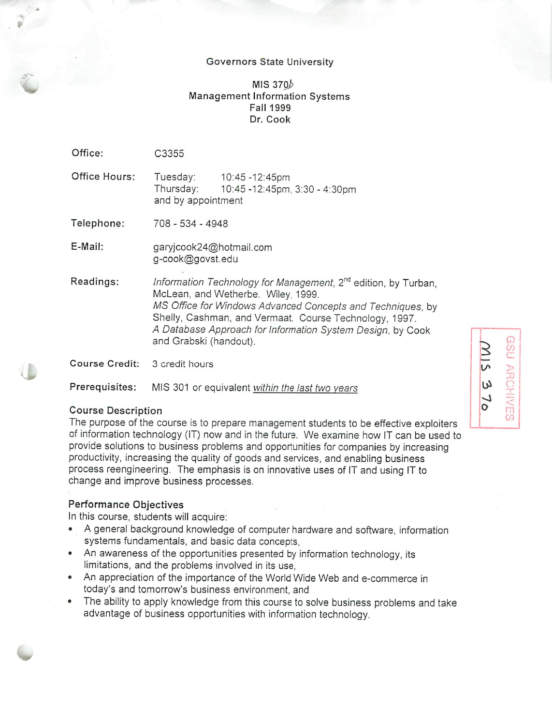#### *Governors State* University

## *MIS 37Q> Management Information Systems Fall 1999 Dr. Cook*

| Office:                       | C3355                                                                                                                                                                                                                                                                                                                            |
|-------------------------------|----------------------------------------------------------------------------------------------------------------------------------------------------------------------------------------------------------------------------------------------------------------------------------------------------------------------------------|
| Office Hours:                 | Tuesday: 10:45 -12:45pm<br>Thursday: 10:45 -12:45pm, 3:30 - 4:30pm<br>and by appointment                                                                                                                                                                                                                                         |
| Telephone:                    | 708 - 534 - 4948                                                                                                                                                                                                                                                                                                                 |
| E-Mail:                       | garyjcook24@hotmail.com<br>g-cook@govst.edu                                                                                                                                                                                                                                                                                      |
| Readings:                     | Information Technology for Management, 2 <sup>nd</sup> edition, by Turban,<br>McLean, and Wetherbe. Wiley, 1999.<br>MS Office for Windows Advanced Concepts and Techniques, by<br>Shelly, Cashman, and Vermaat. Course Technology, 1997.<br>A Database Approach for Information System Design, by Cook<br>and Grabski (handout). |
| Course Credit: 3 credit hours |                                                                                                                                                                                                                                                                                                                                  |

*Prerequisites:* IS 301 or equivalent **within the last two years**

# Course Description

;

*V*

The purpose of the course is to prepare management students to be effective exploiters of information technology (IT) now and in the future. We examine how IT can be used to provide solutions to business problems and opportunities for companies by increasing productivity, increasing the quality of goods and services, and enabling business process reengineering. The emphasis is on innovative uses of IT and using IT to change and improve business processes.

#### *Performance Objectives*

In this course, students will acquire:

- A general background knowledge of computer hardware and software, information systems fundamentals, and basic data concepts,
- An awareness of the opportunities presented by information technology, its limitations, and the problems involved in its use,
- An appreciation of the importance of the World Wide Web and e-commerce in today's and tomorrow's business environment, and
- The ability to apply knowledge from this course to solve business problems and take advantage of business opportunities with information technology.

\$ *<sup>00</sup>* >  $\omega$  $\overline{u}$ *00*

 $\epsilon$